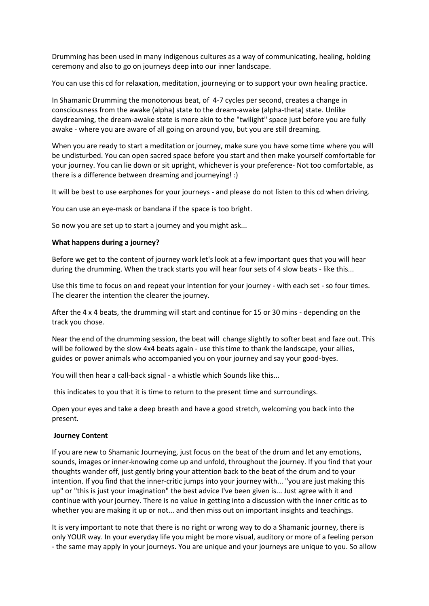Drumming has been used in many indigenous cultures as a way of communicating, healing, holding ceremony and also to go on journeys deep into our inner landscape.

You can use this cd for relaxation, meditation, journeying or to support your own healing practice.

In Shamanic Drumming the monotonous beat, of 4-7 cycles per second, creates a change in consciousness from the awake (alpha) state to the dream-awake (alpha-theta) state. Unlike daydreaming, the dream-awake state is more akin to the "twilight" space just before you are fully awake - where you are aware of all going on around you, but you are still dreaming.

When you are ready to start a meditation or journey, make sure you have some time where you will be undisturbed. You can open sacred space before you start and then make yourself comfortable for your journey. You can lie down or sit upright, whichever is your preference- Not too comfortable, as there is a difference between dreaming and journeying! :)

It will be best to use earphones for your journeys - and please do not listen to this cd when driving.

You can use an eye-mask or bandana if the space is too bright.

So now you are set up to start a journey and you might ask...

## **What happens during a journey?**

Before we get to the content of journey work let's look at a few important ques that you will hear during the drumming. When the track starts you will hear four sets of 4 slow beats - like this...

Use this time to focus on and repeat your intention for your journey - with each set - so four times. The clearer the intention the clearer the journey.

After the 4 x 4 beats, the drumming will start and continue for 15 or 30 mins - depending on the track you chose.

Near the end of the drumming session, the beat will change slightly to softer beat and faze out. This will be followed by the slow 4x4 beats again - use this time to thank the landscape, your allies, guides or power animals who accompanied you on your journey and say your good-byes.

You will then hear a call-back signal - a whistle which Sounds like this...

this indicates to you that it is time to return to the present time and surroundings.

Open your eyes and take a deep breath and have a good stretch, welcoming you back into the present.

## **Journey Content**

If you are new to Shamanic Journeying, just focus on the beat of the drum and let any emotions, sounds, images or inner-knowing come up and unfold, throughout the journey. If you find that your thoughts wander off, just gently bring your attention back to the beat of the drum and to your intention. If you find that the inner-critic jumps into your journey with... "you are just making this up" or "this is just your imagination" the best advice I've been given is... Just agree with it and continue with your journey. There is no value in getting into a discussion with the inner critic as to whether you are making it up or not... and then miss out on important insights and teachings.

It is very important to note that there is no right or wrong way to do a Shamanic journey, there is only YOUR way. In your everyday life you might be more visual, auditory or more of a feeling person - the same may apply in your journeys. You are unique and your journeys are unique to you. So allow